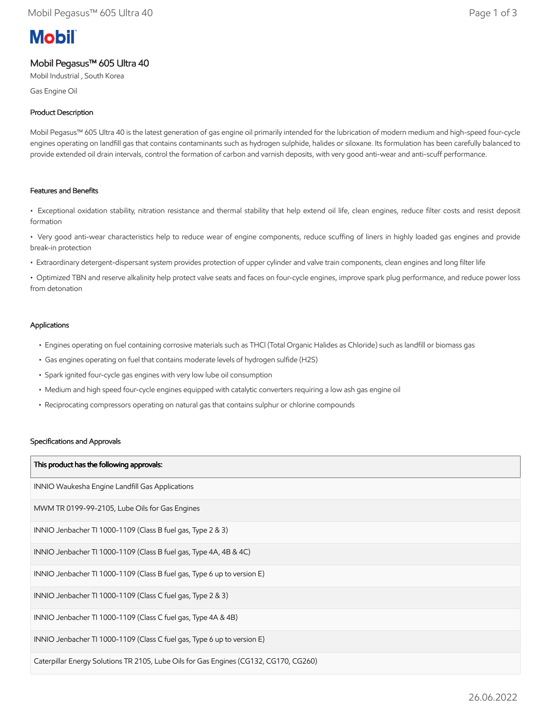# **Mobil**

# Mobil Pegasus™ 605 Ultra 40

Mobil Industrial , South Korea

Gas Engine Oil

# Product Description

Mobil Pegasus™ 605 Ultra 40 is the latest generation of gas engine oil primarily intended for the lubrication of modern medium and high-speed four-cycle engines operating on landfill gas that contains contaminants such as hydrogen sulphide, halides or siloxane. Its formulation has been carefully balanced to provide extended oil drain intervals, control the formation of carbon and varnish deposits, with very good anti-wear and anti-scuff performance.

# Features and Benefits

• Exceptional oxidation stability, nitration resistance and thermal stability that help extend oil life, clean engines, reduce filter costs and resist deposit formation

• Very good anti-wear characteristics help to reduce wear of engine components, reduce scuffing of liners in highly loaded gas engines and provide break-in protection

• Extraordinary detergent-dispersant system provides protection of upper cylinder and valve train components, clean engines and long filter life

• Optimized TBN and reserve alkalinity help protect valve seats and faces on four-cycle engines, improve spark plug performance, and reduce power loss from detonation

### Applications

- Engines operating on fuel containing corrosive materials such as THCl (Total Organic Halides as Chloride) such as landfill or biomass gas
- Gas engines operating on fuel that contains moderate levels of hydrogen sulfide (H2S)
- Spark ignited four-cycle gas engines with very low lube oil consumption
- Medium and high speed four-cycle engines equipped with catalytic converters requiring a low ash gas engine oil
- Reciprocating compressors operating on natural gas that contains sulphur or chlorine compounds

#### Specifications and Approvals

| This product has the following approvals:                                             |
|---------------------------------------------------------------------------------------|
| INNIO Waukesha Engine Landfill Gas Applications                                       |
| MWM TR 0199-99-2105, Lube Oils for Gas Engines                                        |
| INNIO Jenbacher TI 1000-1109 (Class B fuel gas, Type 2 & 3)                           |
| INNIO Jenbacher TI 1000-1109 (Class B fuel gas, Type 4A, 4B & 4C)                     |
| INNIO Jenbacher TI 1000-1109 (Class B fuel gas, Type 6 up to version E)               |
| INNIO Jenbacher TI 1000-1109 (Class C fuel gas, Type 2 & 3)                           |
| INNIO Jenbacher TI 1000-1109 (Class C fuel gas, Type 4A & 4B)                         |
| INNIO Jenbacher TI 1000-1109 (Class C fuel gas, Type 6 up to version E)               |
| Caterpillar Energy Solutions TR 2105, Lube Oils for Gas Engines (CG132, CG170, CG260) |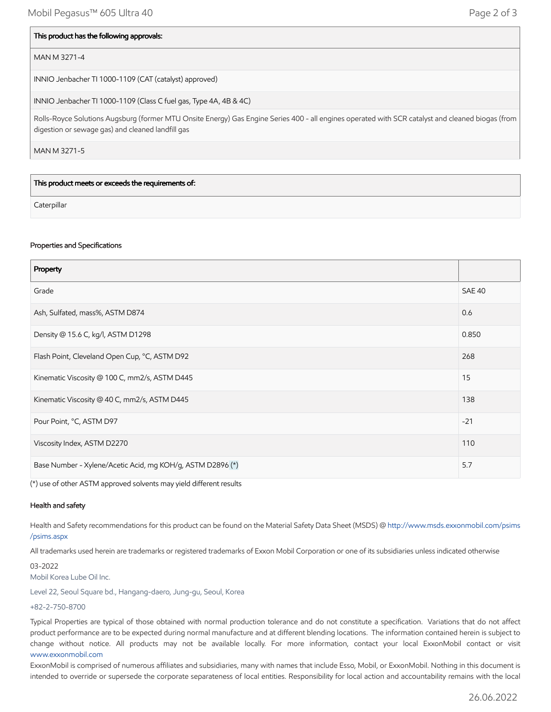#### This product has the following approvals:

#### MAN M 3271-4

INNIO Jenbacher TI 1000-1109 (CAT (catalyst) approved)

INNIO Jenbacher TI 1000-1109 (Class C fuel gas, Type 4A, 4B & 4C)

Rolls-Royce Solutions Augsburg (former MTU Onsite Energy) Gas Engine Series 400 - all engines operated with SCR catalyst and cleaned biogas (from digestion or sewage gas) and cleaned landfill gas

MAN M 3271-5

This product meets or exceeds the requirements of:

**Caterpillar** 

#### Properties and Specifications

| Property                                                   |               |
|------------------------------------------------------------|---------------|
| Grade                                                      | <b>SAE 40</b> |
| Ash, Sulfated, mass%, ASTM D874                            | 0.6           |
| Density @ 15.6 C, kg/l, ASTM D1298                         | 0.850         |
| Flash Point, Cleveland Open Cup, °C, ASTM D92              | 268           |
| Kinematic Viscosity @ 100 C, mm2/s, ASTM D445              | 15            |
| Kinematic Viscosity @ 40 C, mm2/s, ASTM D445               | 138           |
| Pour Point, °C, ASTM D97                                   | $-21$         |
| Viscosity Index, ASTM D2270                                | 110           |
| Base Number - Xylene/Acetic Acid, mg KOH/g, ASTM D2896 (*) | 5.7           |

(\*) use of other ASTM approved solvents may yield different results

#### Health and safety

Health and Safety recommendations for this product can be found on the Material Safety Data Sheet (MSDS) @ [http://www.msds.exxonmobil.com/psims](http://www.msds.exxonmobil.com/psims/psims.aspx) /psims.aspx

All trademarks used herein are trademarks or registered trademarks of Exxon Mobil Corporation or one of its subsidiaries unless indicated otherwise

03-2022 Mobil Korea Lube Oil Inc.

Level 22, Seoul Square bd., Hangang-daero, Jung-gu, Seoul, Korea

+82-2-750-8700

Typical Properties are typical of those obtained with normal production tolerance and do not constitute a specification. Variations that do not affect product performance are to be expected during normal manufacture and at different blending locations. The information contained herein is subject to change without notice. All products may not be available locally. For more information, contact your local ExxonMobil contact or visit [www.exxonmobil.com](http://www.exxonmobil.com/)

ExxonMobil is comprised of numerous affiliates and subsidiaries, many with names that include Esso, Mobil, or ExxonMobil. Nothing in this document is intended to override or supersede the corporate separateness of local entities. Responsibility for local action and accountability remains with the local